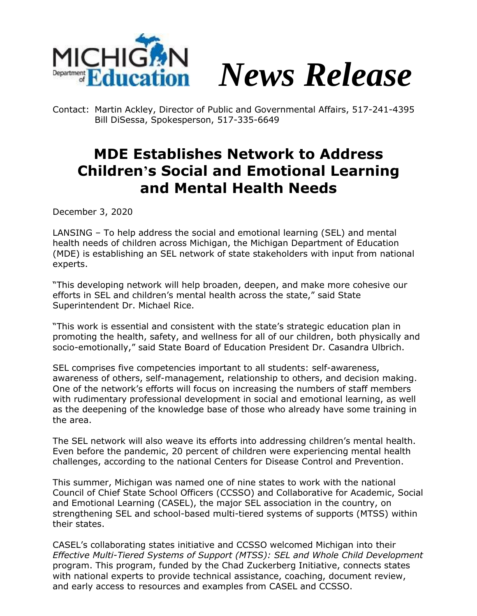



Contact: Martin Ackley, Director of Public and Governmental Affairs, 517-241-4395 Bill DiSessa, Spokesperson, 517-335-6649

## **MDE Establishes Network to Address Children's Social and Emotional Learning and Mental Health Needs**

December 3, 2020

LANSING – To help address the social and emotional learning (SEL) and mental health needs of children across Michigan, the Michigan Department of Education (MDE) is establishing an SEL network of state stakeholders with input from national experts.

"This developing network will help broaden, deepen, and make more cohesive our efforts in SEL and children's mental health across the state," said State Superintendent Dr. Michael Rice.

"This work is essential and consistent with the state's strategic education plan in promoting the health, safety, and wellness for all of our children, both physically and socio-emotionally," said State Board of Education President Dr. Casandra Ulbrich.

SEL comprises five competencies important to all students: self-awareness, awareness of others, self-management, relationship to others, and decision making. One of the network's efforts will focus on increasing the numbers of staff members with rudimentary professional development in social and emotional learning, as well as the deepening of the knowledge base of those who already have some training in the area.

The SEL network will also weave its efforts into addressing children's mental health. Even before the pandemic, 20 percent of children were experiencing mental health challenges, according to the national Centers for Disease Control and Prevention.

This summer, Michigan was named one of nine states to work with the national Council of Chief State School Officers (CCSSO) and Collaborative for Academic, Social and Emotional Learning (CASEL), the major SEL association in the country, on strengthening SEL and school-based multi-tiered systems of supports (MTSS) within their states.

CASEL's collaborating states initiative and CCSSO welcomed Michigan into their *Effective Multi-Tiered Systems of Support (MTSS): SEL and Whole Child Development* program. This program, funded by the Chad Zuckerberg Initiative, connects states with national experts to provide technical assistance, coaching, document review, and early access to resources and examples from CASEL and CCSSO.